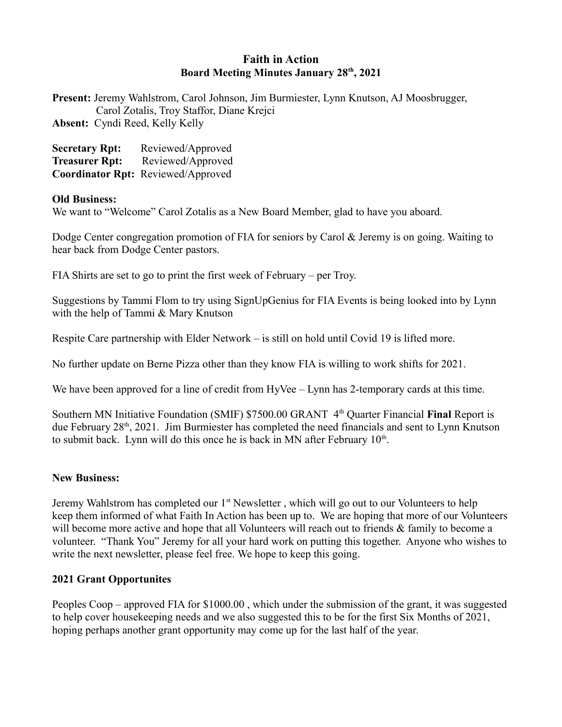## **Faith in Action Board Meeting Minutes January 28th, 2021**

**Present:** Jeremy Wahlstrom, Carol Johnson, Jim Burmiester, Lynn Knutson, AJ Moosbrugger, Carol Zotalis, Troy Staffor, Diane Krejci **Absent:** Cyndi Reed, Kelly Kelly

| <b>Secretary Rpt:</b> | Reviewed/Approved                  |
|-----------------------|------------------------------------|
| <b>Treasurer Rpt:</b> | Reviewed/Approved                  |
|                       | Coordinator Rpt: Reviewed/Approved |

## **Old Business:**

We want to "Welcome" Carol Zotalis as a New Board Member, glad to have you aboard.

Dodge Center congregation promotion of FIA for seniors by Carol & Jeremy is on going. Waiting to hear back from Dodge Center pastors.

FIA Shirts are set to go to print the first week of February – per Troy.

Suggestions by Tammi Flom to try using SignUpGenius for FIA Events is being looked into by Lynn with the help of Tammi & Mary Knutson

Respite Care partnership with Elder Network – is still on hold until Covid 19 is lifted more.

No further update on Berne Pizza other than they know FIA is willing to work shifts for 2021.

We have been approved for a line of credit from HyVee – Lynn has 2-temporary cards at this time.

Southern MN Initiative Foundation (SMIF) \$7500.00 GRANT 4<sup>th</sup> Quarter Financial **Final** Report is due February 28<sup>th</sup>, 2021. Jim Burmiester has completed the need financials and sent to Lynn Knutson to submit back. Lynn will do this once he is back in MN after February  $10<sup>th</sup>$ .

## **New Business:**

Jeremy Wahlstrom has completed our 1<sup>st</sup> Newsletter, which will go out to our Volunteers to help keep them informed of what Faith In Action has been up to. We are hoping that more of our Volunteers will become more active and hope that all Volunteers will reach out to friends & family to become a volunteer. "Thank You" Jeremy for all your hard work on putting this together. Anyone who wishes to write the next newsletter, please feel free. We hope to keep this going.

## **2021 Grant Opportunites**

Peoples Coop – approved FIA for \$1000.00 , which under the submission of the grant, it was suggested to help cover housekeeping needs and we also suggested this to be for the first Six Months of 2021, hoping perhaps another grant opportunity may come up for the last half of the year.